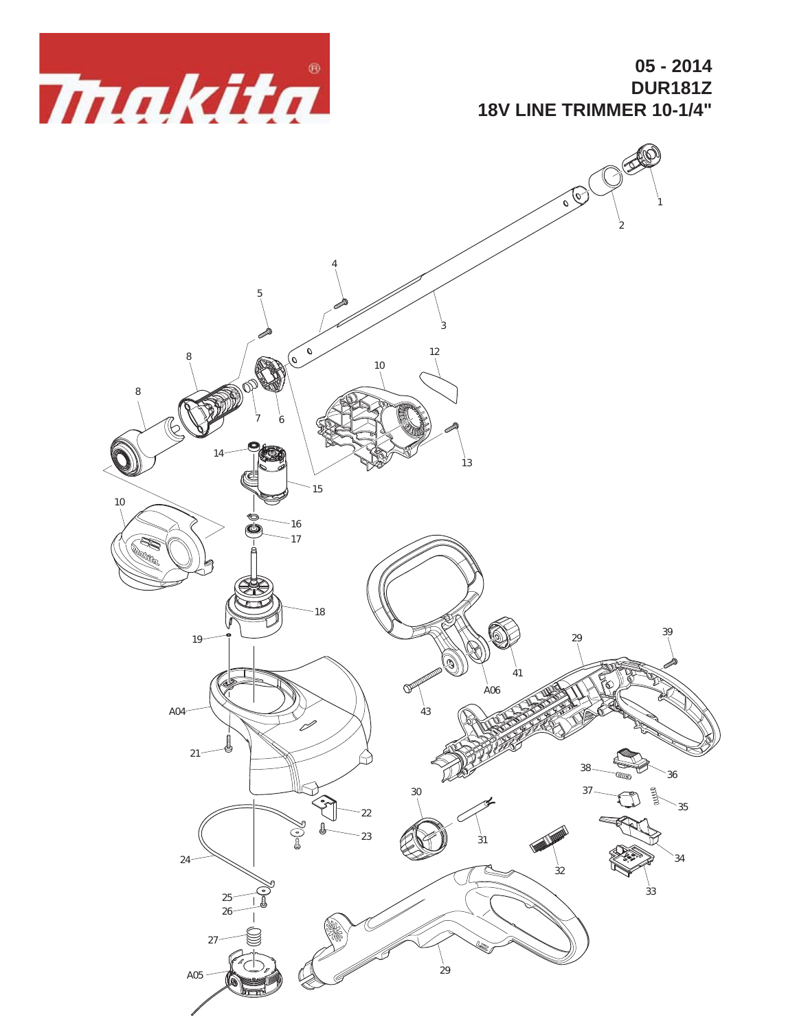

**05 - 2014 DUR181Z 18V LINE TRIMMER 10-1/4"**

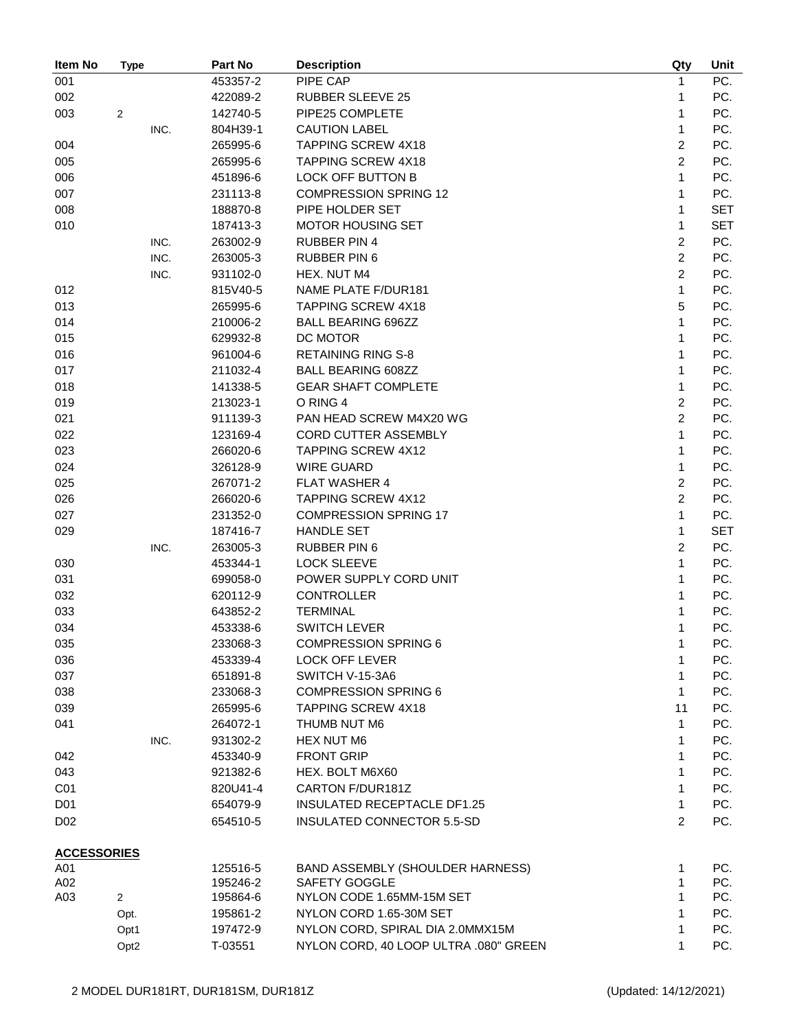| Item No            | Type             | Part No  | <b>Description</b>                    | Qty                     | Unit       |
|--------------------|------------------|----------|---------------------------------------|-------------------------|------------|
| 001                |                  | 453357-2 | PIPE CAP                              | 1                       | PC.        |
| 002                |                  | 422089-2 | <b>RUBBER SLEEVE 25</b>               | 1                       | PC.        |
| 003                | 2                | 142740-5 | PIPE25 COMPLETE                       | 1                       | PC.        |
|                    | INC.             | 804H39-1 | <b>CAUTION LABEL</b>                  | 1                       | PC.        |
| 004                |                  | 265995-6 | <b>TAPPING SCREW 4X18</b>             | $\overline{2}$          | PC.        |
| 005                |                  | 265995-6 | <b>TAPPING SCREW 4X18</b>             | $\overline{2}$          | PC.        |
| 006                |                  | 451896-6 | LOCK OFF BUTTON B                     | 1                       | PC.        |
| 007                |                  | 231113-8 | <b>COMPRESSION SPRING 12</b>          | 1                       | PC.        |
| 008                |                  | 188870-8 | PIPE HOLDER SET                       | 1                       | <b>SET</b> |
| 010                |                  | 187413-3 | <b>MOTOR HOUSING SET</b>              | 1                       | <b>SET</b> |
|                    | INC.             | 263002-9 | <b>RUBBER PIN 4</b>                   | $\overline{\mathbf{c}}$ | PC.        |
|                    | INC.             | 263005-3 | <b>RUBBER PIN 6</b>                   | $\overline{c}$          | PC.        |
|                    | INC.             | 931102-0 | HEX. NUT M4                           | $\overline{c}$          | PC.        |
| 012                |                  | 815V40-5 | NAME PLATE F/DUR181                   | $\mathbf{1}$            | PC.        |
| 013                |                  | 265995-6 | <b>TAPPING SCREW 4X18</b>             | 5                       | PC.        |
| 014                |                  | 210006-2 | <b>BALL BEARING 696ZZ</b>             | 1                       | PC.        |
|                    |                  |          |                                       | 1                       | PC.        |
| 015                |                  | 629932-8 | DC MOTOR                              |                         |            |
| 016                |                  | 961004-6 | <b>RETAINING RING S-8</b>             | 1                       | PC.        |
| 017                |                  | 211032-4 | <b>BALL BEARING 608ZZ</b>             | 1                       | PC.        |
| 018                |                  | 141338-5 | <b>GEAR SHAFT COMPLETE</b>            | 1                       | PC.        |
| 019                |                  | 213023-1 | O RING 4                              | $\boldsymbol{2}$        | PC.        |
| 021                |                  | 911139-3 | PAN HEAD SCREW M4X20 WG               | $\overline{c}$          | PC.        |
| 022                |                  | 123169-4 | CORD CUTTER ASSEMBLY                  | 1                       | PC.        |
| 023                |                  | 266020-6 | <b>TAPPING SCREW 4X12</b>             | 1                       | PC.        |
| 024                |                  | 326128-9 | <b>WIRE GUARD</b>                     | 1                       | PC.        |
| 025                |                  | 267071-2 | <b>FLAT WASHER 4</b>                  | $\sqrt{2}$              | PC.        |
| 026                |                  | 266020-6 | <b>TAPPING SCREW 4X12</b>             | $\overline{c}$          | PC.        |
| 027                |                  | 231352-0 | <b>COMPRESSION SPRING 17</b>          | $\mathbf{1}$            | PC.        |
| 029                |                  | 187416-7 | <b>HANDLE SET</b>                     | 1                       | <b>SET</b> |
|                    | INC.             | 263005-3 | <b>RUBBER PIN 6</b>                   | $\overline{\mathbf{c}}$ | PC.        |
| 030                |                  | 453344-1 | <b>LOCK SLEEVE</b>                    | 1                       | PC.        |
| 031                |                  | 699058-0 | POWER SUPPLY CORD UNIT                | 1                       | PC.        |
| 032                |                  | 620112-9 | <b>CONTROLLER</b>                     | 1                       | PC.        |
| 033                |                  | 643852-2 | <b>TERMINAL</b>                       | 1                       | PC.        |
| 034                |                  | 453338-6 | <b>SWITCH LEVER</b>                   | 1                       | PC.        |
| 035                |                  | 233068-3 | <b>COMPRESSION SPRING 6</b>           | 1                       | PC.        |
| 036                |                  | 453339-4 | <b>LOCK OFF LEVER</b>                 | 1                       | PC.        |
| 037                |                  | 651891-8 | SWITCH V-15-3A6                       | 1                       | PC.        |
| 038                |                  | 233068-3 | <b>COMPRESSION SPRING 6</b>           | 1                       | PC.        |
| 039                |                  | 265995-6 | <b>TAPPING SCREW 4X18</b>             | 11                      | PC.        |
| 041                |                  | 264072-1 | THUMB NUT M6                          | 1                       | PC.        |
|                    | INC.             | 931302-2 | HEX NUT M6                            | 1                       | PC.        |
| 042                |                  | 453340-9 | <b>FRONT GRIP</b>                     | 1                       | PC.        |
| 043                |                  | 921382-6 | HEX. BOLT M6X60                       | 1                       | PC.        |
| C <sub>01</sub>    |                  | 820U41-4 | CARTON F/DUR181Z                      | 1                       | PC.        |
| D <sub>01</sub>    |                  | 654079-9 | INSULATED RECEPTACLE DF1.25           | 1                       | PC.        |
| D <sub>02</sub>    |                  | 654510-5 | INSULATED CONNECTOR 5.5-SD            | $\overline{c}$          | PC.        |
|                    |                  |          |                                       |                         |            |
| <b>ACCESSORIES</b> |                  |          |                                       |                         |            |
| A01                |                  | 125516-5 | BAND ASSEMBLY (SHOULDER HARNESS)      | 1                       | PC.        |
| A02                |                  | 195246-2 | SAFETY GOGGLE                         | 1<br>1                  | PC.        |
| A03                | $\overline{c}$   | 195864-6 | NYLON CODE 1.65MM-15M SET             |                         | PC.        |
|                    | Opt.             | 195861-2 | NYLON CORD 1.65-30M SET               | 1                       | PC.        |
|                    | Opt1             | 197472-9 | NYLON CORD, SPIRAL DIA 2.0MMX15M      | 1                       | PC.        |
|                    | Opt <sub>2</sub> | T-03551  | NYLON CORD, 40 LOOP ULTRA .080" GREEN | 1                       | PC.        |